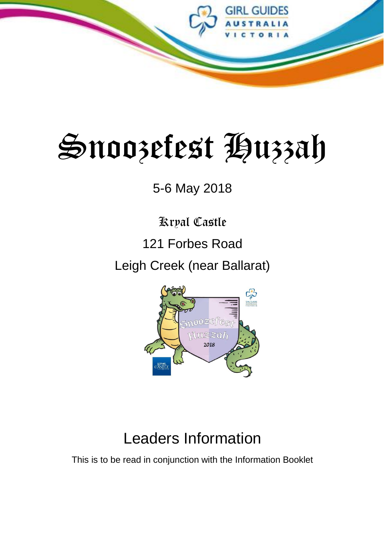

# Snoozefest Huzzah

## 5-6 May 2018

## Kryal Castle

## 121 Forbes Road

## Leigh Creek (near Ballarat)



## Leaders Information

This is to be read in conjunction with the Information Booklet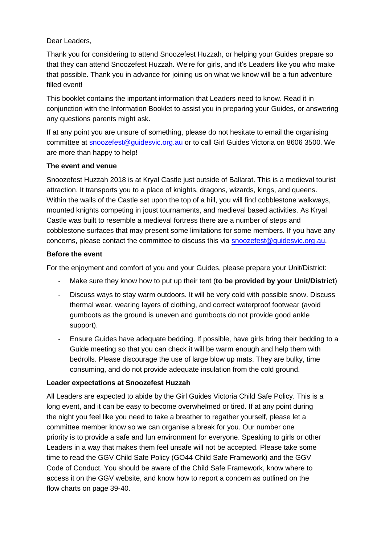#### Dear Leaders,

Thank you for considering to attend Snoozefest Huzzah, or helping your Guides prepare so that they can attend Snoozefest Huzzah. We're for girls, and it's Leaders like you who make that possible. Thank you in advance for joining us on what we know will be a fun adventure filled event!

This booklet contains the important information that Leaders need to know. Read it in conjunction with the Information Booklet to assist you in preparing your Guides, or answering any questions parents might ask.

If at any point you are unsure of something, please do not hesitate to email the organising committee at [snoozefest@guidesvic.org.au](mailto:snoozefest@guidesvic.org.au) or to call Girl Guides Victoria on 8606 3500. We are more than happy to help!

#### **The event and venue**

Snoozefest Huzzah 2018 is at Kryal Castle just outside of Ballarat. This is a medieval tourist attraction. It transports you to a place of knights, dragons, wizards, kings, and queens. Within the walls of the Castle set upon the top of a hill, you will find cobblestone walkways, mounted knights competing in joust tournaments, and medieval based activities. As Kryal Castle was built to resemble a medieval fortress there are a number of steps and cobblestone surfaces that may present some limitations for some members. If you have any concerns, please contact the committee to discuss this via [snoozefest@guidesvic.org.au.](mailto:snoozefest@guidesvic.org.au)

#### **Before the event**

For the enjoyment and comfort of you and your Guides, please prepare your Unit/District:

- Make sure they know how to put up their tent (**to be provided by your Unit/District**)
- Discuss ways to stay warm outdoors. It will be very cold with possible snow. Discuss thermal wear, wearing layers of clothing, and correct waterproof footwear (avoid gumboots as the ground is uneven and gumboots do not provide good ankle support).
- Ensure Guides have adequate bedding. If possible, have girls bring their bedding to a Guide meeting so that you can check it will be warm enough and help them with bedrolls. Please discourage the use of large blow up mats. They are bulky, time consuming, and do not provide adequate insulation from the cold ground.

#### **Leader expectations at Snoozefest Huzzah**

All Leaders are expected to abide by the Girl Guides Victoria Child Safe Policy. This is a long event, and it can be easy to become overwhelmed or tired. If at any point during the night you feel like you need to take a breather to regather yourself, please let a committee member know so we can organise a break for you. Our number one priority is to provide a safe and fun environment for everyone. Speaking to girls or other Leaders in a way that makes them feel unsafe will not be accepted. Please take some time to read the GGV Child Safe Policy (GO44 Child Safe Framework) and the GGV Code of Conduct. You should be aware of the Child Safe Framework, know where to access it on the GGV website, and know how to report a concern as outlined on the flow charts on page 39-40.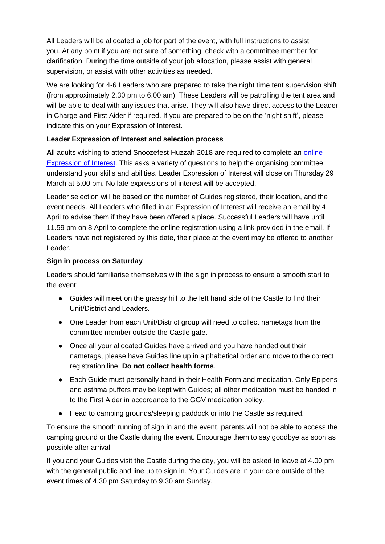All Leaders will be allocated a job for part of the event, with full instructions to assist you. At any point if you are not sure of something, check with a committee member for clarification. During the time outside of your job allocation, please assist with general supervision, or assist with other activities as needed.

We are looking for 4-6 Leaders who are prepared to take the night time tent supervision shift (from approximately 2.30 pm to 6.00 am). These Leaders will be patrolling the tent area and will be able to deal with any issues that arise. They will also have direct access to the Leader in Charge and First Aider if required. If you are prepared to be on the 'night shift', please indicate this on your Expression of Interest.

#### **Leader Expression of Interest and selection process**

**A**ll adults wishing to attend Snoozefest Huzzah 2018 are required to complete an [online](https://goo.gl/forms/XcgyG3xOB6syaclF3)  [Expression of Interest.](https://goo.gl/forms/XcgyG3xOB6syaclF3) This asks a variety of questions to help the organising committee understand your skills and abilities. Leader Expression of Interest will close on Thursday 29 March at 5.00 pm. No late expressions of interest will be accepted.

Leader selection will be based on the number of Guides registered, their location, and the event needs. All Leaders who filled in an Expression of Interest will receive an email by 4 April to advise them if they have been offered a place. Successful Leaders will have until 11.59 pm on 8 April to complete the online registration using a link provided in the email. If Leaders have not registered by this date, their place at the event may be offered to another Leader.

#### **Sign in process on Saturday**

Leaders should familiarise themselves with the sign in process to ensure a smooth start to the event:

- Guides will meet on the grassy hill to the left hand side of the Castle to find their Unit/District and Leaders.
- One Leader from each Unit/District group will need to collect nametags from the committee member outside the Castle gate.
- Once all your allocated Guides have arrived and you have handed out their nametags, please have Guides line up in alphabetical order and move to the correct registration line. **Do not collect health forms**.
- Each Guide must personally hand in their Health Form and medication. Only Epipens and asthma puffers may be kept with Guides; all other medication must be handed in to the First Aider in accordance to the GGV medication policy.
- Head to camping grounds/sleeping paddock or into the Castle as required.

To ensure the smooth running of sign in and the event, parents will not be able to access the camping ground or the Castle during the event. Encourage them to say goodbye as soon as possible after arrival.

If you and your Guides visit the Castle during the day, you will be asked to leave at 4.00 pm with the general public and line up to sign in. Your Guides are in your care outside of the event times of 4.30 pm Saturday to 9.30 am Sunday.